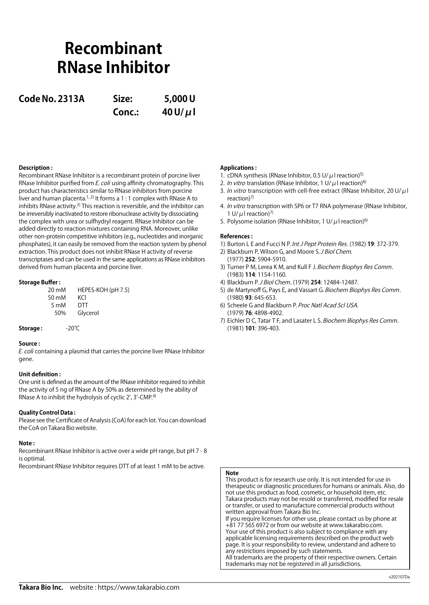# **Recombinant RNase Inhibitor**

**Code No. 2313A Size: 5,000 U**

**Conc.: 40 U/μl**

## **Description :**

Recombinant RNase Inhibitor is a recombinant protein of porcine liver RNase Inhibitor purified from E. coli using affinity chromatography. This product has characteristics similar to RNase inhibitors from porcine liver and human placenta.<sup>1, 2)</sup> It forms a 1 : 1 complex with RNase A to inhibits RNase activity.<sup>3)</sup> This reaction is reversible, and the inhibitor can be irreversibly inactivated to restore ribonuclease activity by dissociating the complex with urea or sulfhydryl reagent. RNase Inhibitor can be added directly to reaction mixtures containing RNA. Moreover, unlike other non-protein competitive inhibitors (e.g., nucleotides and inorganic phosphates), it can easily be removed from the reaction system by phenol extraction. This product does not inhibit RNase H activity of reverse transcriptases and can be used in the same applications as RNase inhibitors derived from human placenta and porcine liver.

### **Storage Buffer :**

| 20 mM       | HEPES-KOH (pH 7.5) |
|-------------|--------------------|
| 50 mM       | KCI                |
| 5 mM<br>50% | DTT                |
|             | Glycerol           |

**Storage :** -20℃

### **Source :**

E. coli containing a plasmid that carries the porcine liver RNase Inhibitor gene.

### **Unit definition :**

One unit is defined as the amount of the RNase inhibitor required to inhibit the activity of 5 ng of RNase A by 50% as determined by the ability of RNase A to inhibit the hydrolysis of cyclic 2', 3'-CMP.4)

### **Quality Control Data :**

Please see the Certificate of Analysis (CoA) for each lot. You can download the CoA on Takara Bio website.

### **Note :**

Recombinant RNase Inhibitor is active over a wide pH range, but pH 7 - 8 is optimal.

Recombinant RNase Inhibitor requires DTT of at least 1 mM to be active.

## **Applications :**

- 1. cDNA synthesis (RNase Inhibitor, 0.5 U/ $\mu$ I reaction)<sup>5)</sup>
- 2. In vitro translation (RNase Inhibitor, 1 U/ $\mu$ I reaction)<sup>6)</sup>
- 3. In vitro transcription with cell-free extract (RNase Inhibitor, 20 U/μl reaction)7)
- 4. *In vitro* transcription with SP6 or T7 RNA polymerase (RNase Inhibitor, 1 U/ $\mu$ I reaction)<sup>7)</sup>
- 5. Polysome isolation (RNase Inhibitor, 1 U/ $\mu$ I reaction)<sup>6)</sup>

### **References :**

- 1) Burton L E and Fucci N P. Int J Pept Protein Res. (1982) **19**: 372-379.
- 2) Blackburn P, Wilson G, and Moore S. J Biol Chem. (1977) **252**: 5904-5910.
- 3) Turner P M, Lerea K M, and Kull F J. Biochem Biophys Res Comm. (1983) **114**: 1154-1160.
- 4) Blackburn P. J Biol Chem. (1979) **254**: 12484-12487.
- 5) de Martynoff G, Pays E, and Vassart G. Biochem Biophys Res Comm. (1980) **93**: 645-653.
- 6) Scheele G and Blackburn P. Proc Natl Acad Scl USA. (1979) **76**: 4898-4902.
- 7) Eichler D C, Tatar T F, and Lasater L S. Biochem Biophys Res Comm. (1981) **101**: 396-403.

## **Note**

This product is for research use only. It is not intended for use in therapeutic or diagnostic procedures for humans or animals. Also, do not use this product as food, cosmetic, or household item, etc. Takara products may not be resold or transferred, modified for resale or transfer, or used to manufacture commercial products without written approval from Takara Bio Inc.

If you require licenses for other use, please contact us by phone at +81 77 565 6972 or from our website at www.takarabio.com. Your use of this product is also subject to compliance with any applicable licensing requirements described on the product web page. It is your responsibility to review, understand and adhere to any restrictions imposed by such statements. All trademarks are the property of their respective owners. Certain trademarks may not be registered in all jurisdictions.

**Takara Bio Inc.** website : https://www.takarabio.com